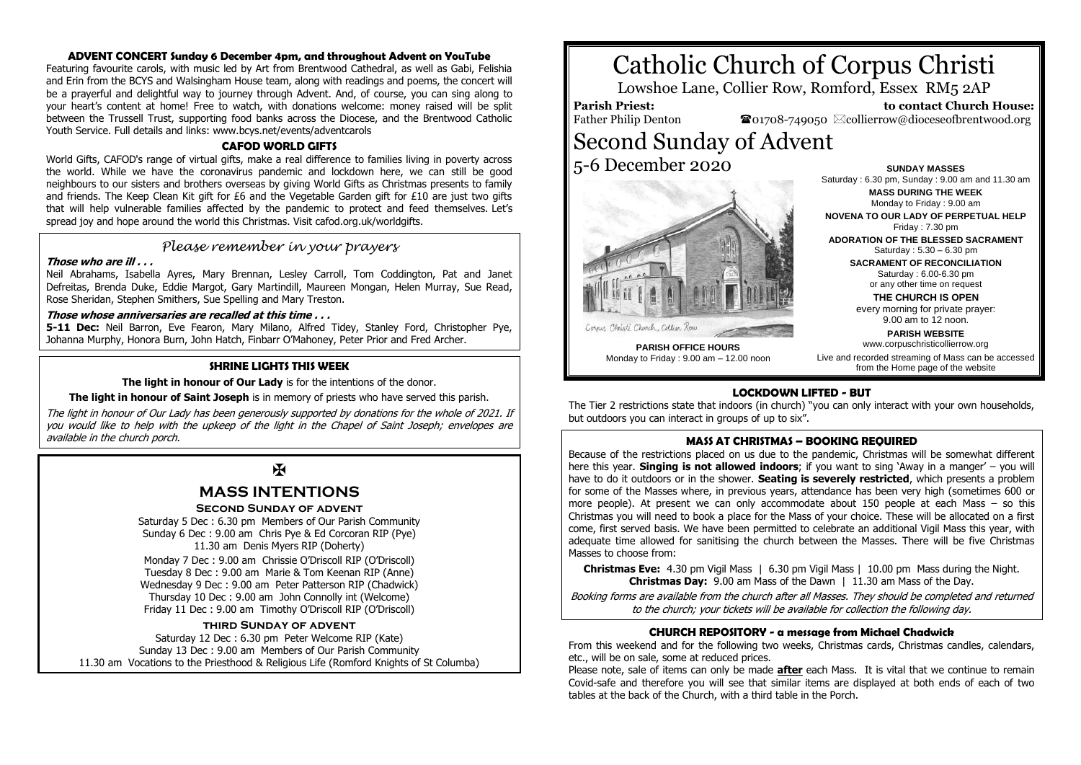### **ADVENT CONCERT Sunday 6 December 4pm, and throughout Advent on YouTube**

Featuring favourite carols, with music led by Art from Brentwood Cathedral, as well as Gabi, Felishia and Erin from the BCYS and Walsingham House team, along with readings and poems, the concert will be a prayerful and delightful way to journey through Advent. And, of course, you can sing along to your heart's content at home! Free to watch, with donations welcome: money raised will be split between the Trussell Trust, supporting food banks across the Diocese, and the Brentwood Catholic Youth Service. Full details and links: www.bcys.net/events/adventcarols

### **CAFOD WORLD GIFTS**

World Gifts, CAFOD's range of virtual gifts, make a real difference to families living in poverty across the world. While we have the coronavirus pandemic and lockdown here, we can still be good neighbours to our sisters and brothers overseas by giving World Gifts as Christmas presents to family and friends. The Keep Clean Kit gift for £6 and the Vegetable Garden gift for £10 are just two gifts that will help vulnerable families affected by the pandemic to protect and feed themselves. Let's spread joy and hope around the world this Christmas. Visit cafod.org.uk/worldgifts.

### *Please remember in your prayers*

### **Those who are ill . . .**

Neil Abrahams, Isabella Ayres, Mary Brennan, Lesley Carroll, Tom Coddington, Pat and Janet Defreitas, Brenda Duke, Eddie Margot, Gary Martindill, Maureen Mongan, Helen Murray, Sue Read, Rose Sheridan, Stephen Smithers, Sue Spelling and Mary Treston.

### **Those whose anniversaries are recalled at this time . . .**

**5-11 Dec:** Neil Barron, Eve Fearon, Mary Milano, Alfred Tidey, Stanley Ford, Christopher Pye, Johanna Murphy, Honora Burn, John Hatch, Finbarr O'Mahoney, Peter Prior and Fred Archer.

### **SHRINE LIGHTS THIS WEEK**

**The light in honour of Our Lady** is for the intentions of the donor.

**The light in honour of Saint Joseph** is in memory of priests who have served this parish.

The light in honour of Our Lady has been generously supported by donations for the whole of 2021. If you would like to help with the upkeep of the light in the Chapel of Saint Joseph; envelopes are available in the church porch.

## $\mathbf K$

## **MASS INTENTIONS**

### **Second Sunday of advent**

Saturday 5 Dec : 6.30 pm Members of Our Parish Community Sunday 6 Dec : 9.00 am Chris Pye & Ed Corcoran RIP (Pye) 11.30 am Denis Myers RIP (Doherty) Monday 7 Dec : 9.00 am Chrissie O'Driscoll RIP (O'Driscoll) Tuesday 8 Dec : 9.00 am Marie & Tom Keenan RIP (Anne) Wednesday 9 Dec : 9.00 am Peter Patterson RIP (Chadwick) Thursday 10 Dec : 9.00 am John Connolly int (Welcome) Friday 11 Dec : 9.00 am Timothy O'Driscoll RIP (O'Driscoll)

### **third Sunday of advent**

Saturday 12 Dec : 6.30 pm Peter Welcome RIP (Kate) Sunday 13 Dec : 9.00 am Members of Our Parish Community 11.30 am Vocations to the Priesthood & Religious Life (Romford Knights of St Columba)

# Catholic Church of Corpus Christi

Lowshoe Lane, Collier Row, Romford, Essex RM5 2AP

## **Parish Priest:**

Father Philip Denton

 **to contact Church House:**  $\bullet$ 01708-749050  $\boxtimes$ collierrow@dioceseofbrentwood.org

## Second Sunday of Advent 5-6 December 2020



**SUNDAY MASSES** Saturday : 6.30 pm, Sunday : 9.00 am and 11.30 am **MASS DURING THE WEEK** Monday to Friday : 9.00 am

**NOVENA TO OUR LADY OF PERPETUAL HELP** Friday : 7.30 pm

**ADORATION OF THE BLESSED SACRAMENT** Saturday : 5.30 – 6.30 pm

> **SACRAMENT OF RECONCILIATION** Saturday : 6.00-6.30 pm

or any other time on request **THE CHURCH IS OPEN**

every morning for private prayer: 9.00 am to 12 noon.

**PARISH WEBSITE** www.corpuschristicollierrow.org

**PARISH OFFICE HOURS** Monday to Friday : 9.00 am – 12.00 noon

Live and recorded streaming of Mass can be accessed from the Home page of the website

### **LOCKDOWN LIFTED - BUT**

The Tier 2 restrictions state that indoors (in church) "you can only interact with your own households, but outdoors you can interact in groups of up to six".

### **MASS AT CHRISTMAS – BOOKING REQUIRED**

Because of the restrictions placed on us due to the pandemic, Christmas will be somewhat different here this year. **Singing is not allowed indoors**; if you want to sing 'Away in a manger' – you will have to do it outdoors or in the shower. **Seating is severely restricted**, which presents a problem for some of the Masses where, in previous years, attendance has been very high (sometimes 600 or more people). At present we can only accommodate about 150 people at each Mass – so this Christmas you will need to book a place for the Mass of your choice. These will be allocated on a first come, first served basis. We have been permitted to celebrate an additional Vigil Mass this year, with adequate time allowed for sanitising the church between the Masses. There will be five Christmas Masses to choose from:

**Christmas Eve:** 4.30 pm Vigil Mass | 6.30 pm Vigil Mass | 10.00 pm Mass during the Night. **Christmas Day:** 9.00 am Mass of the Dawn | 11.30 am Mass of the Day.

Booking forms are available from the church after all Masses. They should be completed and returned to the church; your tickets will be available for collection the following day.

### **CHURCH REPOSITORY - a message from Michael Chadwick**

From this weekend and for the following two weeks, Christmas cards, Christmas candles, calendars, etc., will be on sale, some at reduced prices.

Please note, sale of items can only be made **after** each Mass. It is vital that we continue to remain Covid-safe and therefore you will see that similar items are displayed at both ends of each of two tables at the back of the Church, with a third table in the Porch.